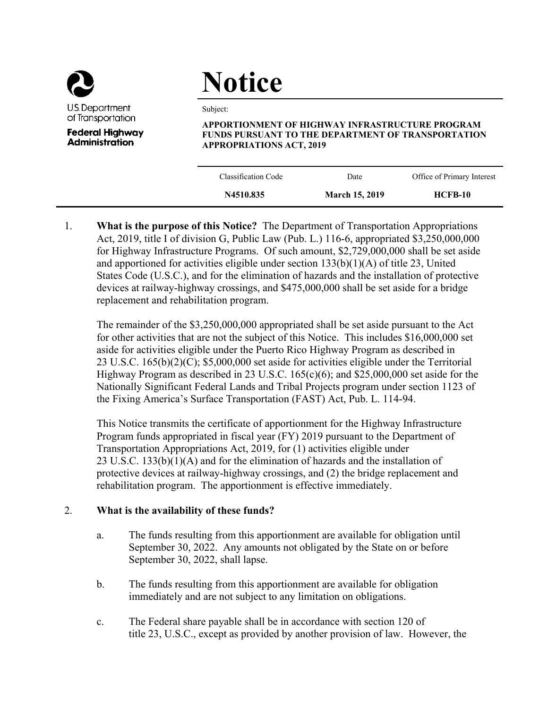

**Administration** 

# **Notice**

Subject:

**APPORTIONMENT OF HIGHWAY INFRASTRUCTURE PROGRAM FUNDS PURSUANT TO THE DEPARTMENT OF TRANSPORTATION APPROPRIATIONS ACT, 2019** 

| N4510.835           | <b>March 15, 2019</b> | HCFB-10                    |  |
|---------------------|-----------------------|----------------------------|--|
| Classification Code | Date                  | Office of Primary Interest |  |

1. **What is the purpose of this Notice?** The Department of Transportation Appropriations Act, 2019, title I of division G, Public Law (Pub. L.) 116-6, appropriated \$3,250,000,000 for Highway Infrastructure Programs. Of such amount, \$2,729,000,000 shall be set aside and apportioned for activities eligible under section 133(b)(1)(A) of title 23, United States Code (U.S.C.), and for the elimination of hazards and the installation of protective devices at railway-highway crossings, and \$475,000,000 shall be set aside for a bridge replacement and rehabilitation program.

The remainder of the \$3,250,000,000 appropriated shall be set aside pursuant to the Act for other activities that are not the subject of this Notice. This includes \$16,000,000 set aside for activities eligible under the Puerto Rico Highway Program as described in 23 U.S.C. 165(b)(2)(C); \$5,000,000 set aside for activities eligible under the Territorial Highway Program as described in 23 U.S.C. 165(c)(6); and \$25,000,000 set aside for the Nationally Significant Federal Lands and Tribal Projects program under section 1123 of the Fixing America's Surface Transportation (FAST) Act, Pub. L. 114-94.

This Notice transmits the certificate of apportionment for the Highway Infrastructure Program funds appropriated in fiscal year (FY) 2019 pursuant to the Department of Transportation Appropriations Act, 2019, for (1) activities eligible under 23 U.S.C. 133(b)(1)(A) and for the elimination of hazards and the installation of protective devices at railway-highway crossings, and (2) the bridge replacement and rehabilitation program. The apportionment is effective immediately.

# 2. **What is the availability of these funds?**

- a. The funds resulting from this apportionment are available for obligation until September 30, 2022. Any amounts not obligated by the State on or before September 30, 2022, shall lapse.
- b. The funds resulting from this apportionment are available for obligation immediately and are not subject to any limitation on obligations.
- c. The Federal share payable shall be in accordance with section 120 of title 23, U.S.C., except as provided by another provision of law. However, the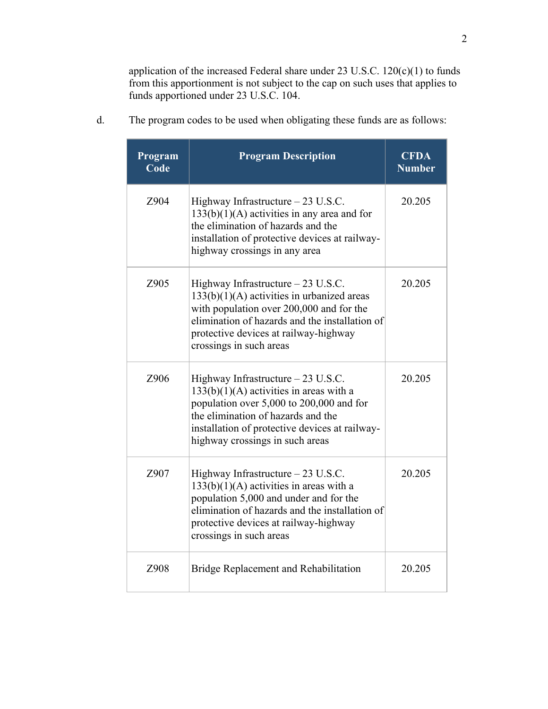application of the increased Federal share under 23 U.S.C. 120(c)(1) to funds from this apportionment is not subject to the cap on such uses that applies to funds apportioned under 23 U.S.C. 104.

| Program<br>Code | <b>Program Description</b>                                                                                                                                                                                                                              | <b>CFDA</b><br><b>Number</b> |
|-----------------|---------------------------------------------------------------------------------------------------------------------------------------------------------------------------------------------------------------------------------------------------------|------------------------------|
| Z904            | Highway Infrastructure - 23 U.S.C.<br>$133(b)(1)(A)$ activities in any area and for<br>the elimination of hazards and the<br>installation of protective devices at railway-<br>highway crossings in any area                                            | 20.205                       |
| Z905            | Highway Infrastructure - 23 U.S.C.<br>$133(b)(1)(A)$ activities in urbanized areas<br>with population over 200,000 and for the<br>elimination of hazards and the installation of<br>protective devices at railway-highway<br>crossings in such areas    | 20.205                       |
| Z906            | Highway Infrastructure $-23$ U.S.C.<br>$133(b)(1)(A)$ activities in areas with a<br>population over 5,000 to 200,000 and for<br>the elimination of hazards and the<br>installation of protective devices at railway-<br>highway crossings in such areas | 20.205                       |
| Z907            | Highway Infrastructure $-23$ U.S.C.<br>$133(b)(1)(A)$ activities in areas with a<br>population 5,000 and under and for the<br>elimination of hazards and the installation of<br>protective devices at railway-highway<br>crossings in such areas        | 20.205                       |
| Z908            | Bridge Replacement and Rehabilitation                                                                                                                                                                                                                   | 20.205                       |

d. The program codes to be used when obligating these funds are as follows: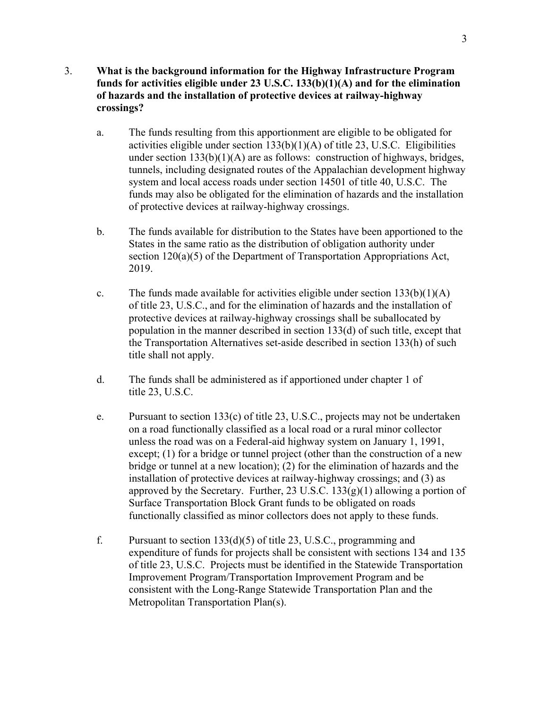## 3. **What is the background information for the Highway Infrastructure Program funds for activities eligible under 23 U.S.C. 133(b)(1)(A) and for the elimination of hazards and the installation of protective devices at railway-highway crossings?**

- a. The funds resulting from this apportionment are eligible to be obligated for activities eligible under section 133(b)(1)(A) of title 23, U.S.C. Eligibilities under section  $133(b)(1)(A)$  are as follows: construction of highways, bridges, tunnels, including designated routes of the Appalachian development highway system and local access roads under section 14501 of title 40, U.S.C. The funds may also be obligated for the elimination of hazards and the installation of protective devices at railway-highway crossings.
- b. The funds available for distribution to the States have been apportioned to the States in the same ratio as the distribution of obligation authority under section 120(a)(5) of the Department of Transportation Appropriations Act, 2019.
- c. The funds made available for activities eligible under section  $133(b)(1)(A)$ of title 23, U.S.C., and for the elimination of hazards and the installation of protective devices at railway-highway crossings shall be suballocated by population in the manner described in section 133(d) of such title, except that the Transportation Alternatives set-aside described in section 133(h) of such title shall not apply.
- d. The funds shall be administered as if apportioned under chapter 1 of title 23, U.S.C.
- e. Pursuant to section 133(c) of title 23, U.S.C., projects may not be undertaken on a road functionally classified as a local road or a rural minor collector unless the road was on a Federal-aid highway system on January 1, 1991, except; (1) for a bridge or tunnel project (other than the construction of a new bridge or tunnel at a new location); (2) for the elimination of hazards and the installation of protective devices at railway-highway crossings; and (3) as approved by the Secretary. Further, 23 U.S.C.  $133(g)(1)$  allowing a portion of Surface Transportation Block Grant funds to be obligated on roads functionally classified as minor collectors does not apply to these funds.
- f. Pursuant to section 133(d)(5) of title 23, U.S.C., programming and expenditure of funds for projects shall be consistent with sections 134 and 135 of title 23, U.S.C. Projects must be identified in the Statewide Transportation Improvement Program/Transportation Improvement Program and be consistent with the Long-Range Statewide Transportation Plan and the Metropolitan Transportation Plan(s).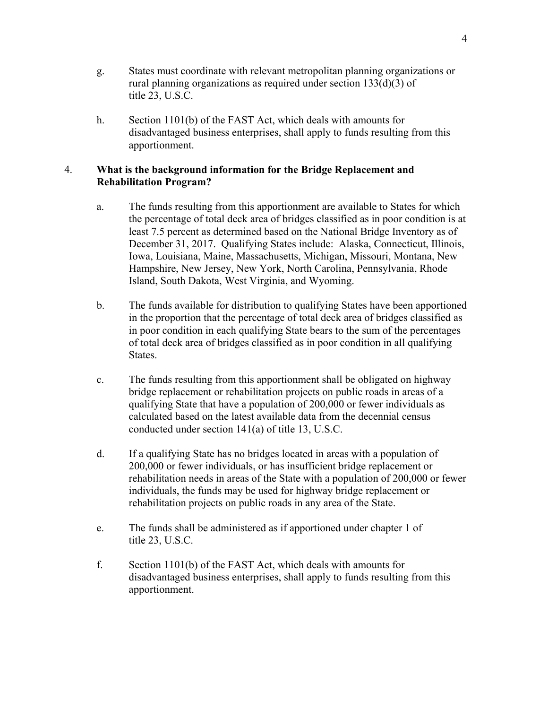- g. States must coordinate with relevant metropolitan planning organizations or rural planning organizations as required under section 133(d)(3) of title 23, U.S.C.
- h. Section 1101(b) of the FAST Act, which deals with amounts for disadvantaged business enterprises, shall apply to funds resulting from this apportionment.

## 4. **What is the background information for the Bridge Replacement and Rehabilitation Program?**

- a. The funds resulting from this apportionment are available to States for which the percentage of total deck area of bridges classified as in poor condition is at least 7.5 percent as determined based on the National Bridge Inventory as of December 31, 2017. Qualifying States include: Alaska, Connecticut, Illinois, Iowa, Louisiana, Maine, Massachusetts, Michigan, Missouri, Montana, New Hampshire, New Jersey, New York, North Carolina, Pennsylvania, Rhode Island, South Dakota, West Virginia, and Wyoming.
- b. The funds available for distribution to qualifying States have been apportioned in the proportion that the percentage of total deck area of bridges classified as in poor condition in each qualifying State bears to the sum of the percentages of total deck area of bridges classified as in poor condition in all qualifying States.
- c. The funds resulting from this apportionment shall be obligated on highway bridge replacement or rehabilitation projects on public roads in areas of a qualifying State that have a population of 200,000 or fewer individuals as calculated based on the latest available data from the decennial census conducted under section 141(a) of title 13, U.S.C.
- d. If a qualifying State has no bridges located in areas with a population of 200,000 or fewer individuals, or has insufficient bridge replacement or rehabilitation needs in areas of the State with a population of 200,000 or fewer individuals, the funds may be used for highway bridge replacement or rehabilitation projects on public roads in any area of the State.
- e. The funds shall be administered as if apportioned under chapter 1 of title 23, U.S.C.
- f. Section 1101(b) of the FAST Act, which deals with amounts for disadvantaged business enterprises, shall apply to funds resulting from this apportionment.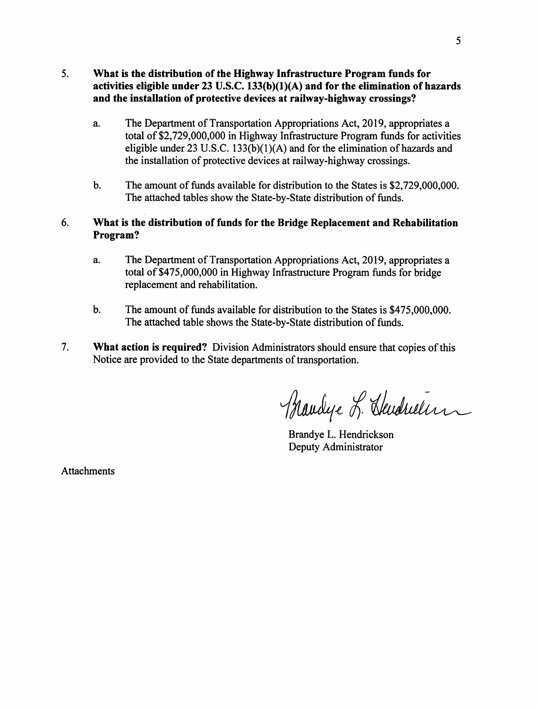## 5. What is the distribution of the Highway Infrastructure Program funds for activities eligible under  $23$  U.S.C.  $133(b)(1)(A)$  and for the elimination of hazards and the installation of protective devices at railway-highway crossings?

- a. The Department of Transportation Appropriations Act, 2019, appropriates a total of \$2,729,000,000 in Highway Infrastructure Program funds for activities eligible under  $23 \text{ U.S.C. } 133(b)(1)(A)$  and for the elimination of hazards and the installation of protective devices at railway-highway crossings.
- The amount of funds available for distribution to the States is \$2,729,000,000.  $\mathbf b$ . The attached tables show the State-by-State distribution of funds.

#### 6. What is the distribution of funds for the Bridge Replacement and Rehabilitation Program?

- The Department of Transportation Appropriations Act, 2019, appropriates a a. total of \$475,000,000 in Highway Infrastructure Program funds for bridge replacement and rehabilitation.
- $\mathbf b$ . The amount of funds available for distribution to the States is \$475,000,000. The attached table shows the State-by-State distribution of funds.
- $7.$ What action is required? Division Administrators should ensure that copies of this Notice are provided to the State departments of transportation.

Blandye L. Skudrulin

Brandye L. Hendrickson Deputy Administrator

**Attachments**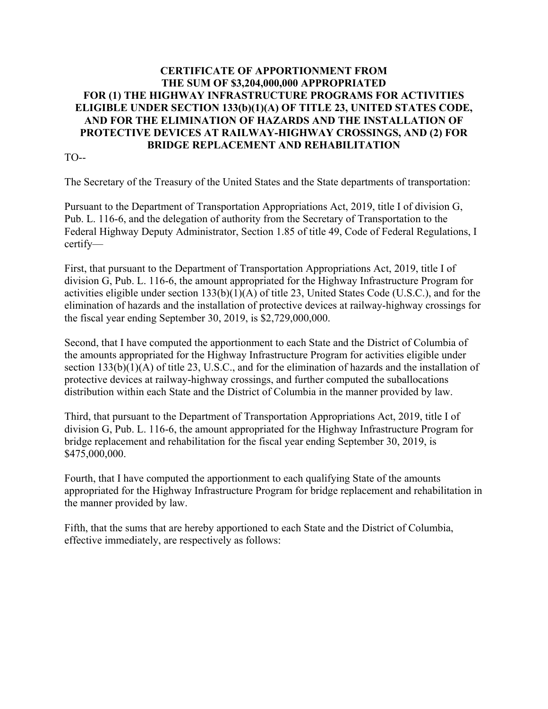# **CERTIFICATE OF APPORTIONMENT FROM THE SUM OF \$3,204,000,000 APPROPRIATED FOR (1) THE HIGHWAY INFRASTRUCTURE PROGRAMS FOR ACTIVITIES ELIGIBLE UNDER SECTION 133(b)(1)(A) OF TITLE 23, UNITED STATES CODE, AND FOR THE ELIMINATION OF HAZARDS AND THE INSTALLATION OF PROTECTIVE DEVICES AT RAILWAY-HIGHWAY CROSSINGS, AND (2) FOR BRIDGE REPLACEMENT AND REHABILITATION**

TO--

The Secretary of the Treasury of the United States and the State departments of transportation:

Pursuant to the Department of Transportation Appropriations Act, 2019, title I of division G, Pub. L. 116-6, and the delegation of authority from the Secretary of Transportation to the Federal Highway Deputy Administrator, Section 1.85 of title 49, Code of Federal Regulations, I certify—

First, that pursuant to the Department of Transportation Appropriations Act, 2019, title I of division G, Pub. L. 116-6, the amount appropriated for the Highway Infrastructure Program for activities eligible under section 133(b)(1)(A) of title 23, United States Code (U.S.C.), and for the elimination of hazards and the installation of protective devices at railway-highway crossings for the fiscal year ending September 30, 2019, is \$2,729,000,000.

Second, that I have computed the apportionment to each State and the District of Columbia of the amounts appropriated for the Highway Infrastructure Program for activities eligible under section 133(b)(1)(A) of title 23, U.S.C., and for the elimination of hazards and the installation of protective devices at railway-highway crossings, and further computed the suballocations distribution within each State and the District of Columbia in the manner provided by law.

Third, that pursuant to the Department of Transportation Appropriations Act, 2019, title I of division G, Pub. L. 116-6, the amount appropriated for the Highway Infrastructure Program for bridge replacement and rehabilitation for the fiscal year ending September 30, 2019, is \$475,000,000.

Fourth, that I have computed the apportionment to each qualifying State of the amounts appropriated for the Highway Infrastructure Program for bridge replacement and rehabilitation in the manner provided by law.

Fifth, that the sums that are hereby apportioned to each State and the District of Columbia, effective immediately, are respectively as follows: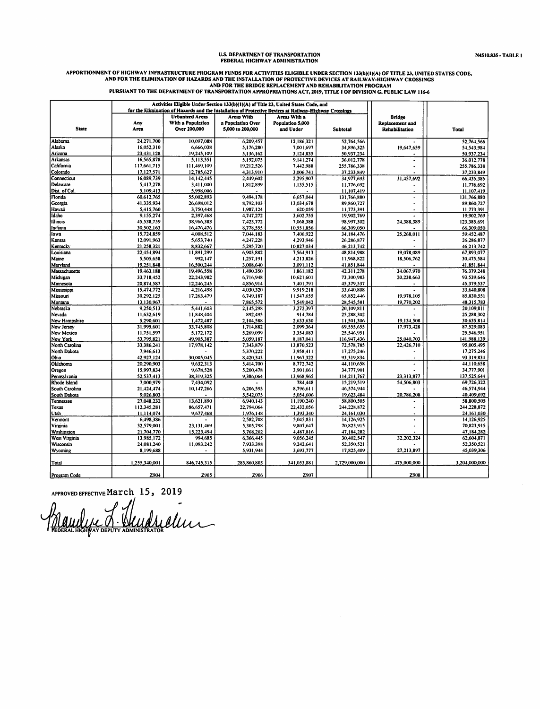# U.S. DEPARTMENT OF TRANSPORTATION<br>FEDERAL HIGHWAY ADMINISTRATION

# APPORTIONMENT OF HIGHWAY INFRASTRUCTURE PROGRAM FUNDS FOR ACTIVITIES ELIGIBLE UNDER SECTION 133(b)(1)(A) OF TITLE 23, UNITED STATES CODE,<br>AND FOR THE ELIMINATION OF HAZARDS AND THE INSTALLATION OF RROTECTIVE DEVICES AT RAI

| Activities Eligible Under Section 133(b)(1)(A) of Title 23, United States Code, and<br>for the Elimination of Hazards and the Installation of Protective Devices at Railway-Highway Crossings |               |                        |                   |                  |               |                                                   |               |
|-----------------------------------------------------------------------------------------------------------------------------------------------------------------------------------------------|---------------|------------------------|-------------------|------------------|---------------|---------------------------------------------------|---------------|
|                                                                                                                                                                                               |               |                        |                   |                  |               |                                                   |               |
|                                                                                                                                                                                               |               | <b>Urbanized Areas</b> | <b>Areas With</b> | Areas With a     |               | <b>Bridge</b>                                     |               |
|                                                                                                                                                                                               | Any           | With a Population      | a Population Over | Population 5,000 |               | Replacement and                                   |               |
| <b>State</b>                                                                                                                                                                                  | Area          | Over 200,000           | 5,000 to 200,000  | and Under        | Subtotal      | Rehabilitation                                    | Total         |
| Alabama                                                                                                                                                                                       | 24,271,700    | 10,097,088             | 6,209,457         | 12,186,321       | 52,764,566    |                                                   | 52,764,566    |
| Alaska                                                                                                                                                                                        | 16,052,310    | 6,666,038              | 5,176,280         | 7,001,697        | 34,896,325    | 19,647,659                                        | 54,543,984    |
| Arizona                                                                                                                                                                                       | 23,431,128    | 19,245,109             | 5,136,162         | 3,124,835        | 50,937,234    |                                                   | 50,937,234    |
| Arkansas                                                                                                                                                                                      | 16,565,878    | 5,113,551              | 5,192,075         | 9,141,274        | 36,012,778    | $\bullet$                                         | 36,012,778    |
| California                                                                                                                                                                                    | 117,661,715   | 111,469,109            | 19,212,526        | 7,442,988        | 255,786,338   | $\ddot{\phantom{0}}$                              | 255,786,338   |
| Colorado                                                                                                                                                                                      | 17,127,571    | 12,785,627             | 4,313,910         | 3,006,741        | 37,233,849    |                                                   | 37,233,849    |
| Connecticut                                                                                                                                                                                   | 16,089,739    | 14, 142, 445           | 2,449,602         | 2,295,907        | 34,977,693    | 31,457,692                                        | 66,435,385    |
| Delaware                                                                                                                                                                                      | 5,417,278     | 3,411,000              | 1,812,899         | 1,135,515        | 11,776,692    |                                                   | 11,776,692    |
| Dist. of Col.                                                                                                                                                                                 | 5,109,413     | 5,998,006              |                   |                  | 11,107,419    | $\ddot{\phantom{0}}$                              | 11,107,419    |
| Florida                                                                                                                                                                                       | 60,612,765    | 55,002,893             | 9.494.178         | 6,657,044        | 131,766,880   | $\bullet$                                         | 131.766,880   |
| Georgia                                                                                                                                                                                       | 41,335,934    | 26,698,012             | 8,792,103         | 13,034,678       | 89,860,727    |                                                   | 89,860,727    |
| Hawaii                                                                                                                                                                                        | 5,415,760     | 3,750,448              | 1,987,124         | 620,059          | 11,773,391    | $\centering \label{eq:reduced}$<br>$\blacksquare$ | 11,773,391    |
| Idaho                                                                                                                                                                                         | 9,155,274     | 2,397,468              | 4,747,272         | 3,602,755        | 19,902,769    |                                                   | 19,902,769    |
| Illinois                                                                                                                                                                                      | 45,538,759    | 38,966,383             | 7,423,772         | 7,068,388        | 98,997,302    | 24,388,389                                        |               |
| Indiana                                                                                                                                                                                       | 30,502,163    | 16,476,476             | 8,778,555         | 10,551,856       | 66,309,050    |                                                   | 123,385,691   |
| lowa                                                                                                                                                                                          | 15,724,859    | 4,008,512              |                   |                  |               | 25,268,011                                        | 66,309,050    |
|                                                                                                                                                                                               |               |                        | 7,044,183         | 7,406,922        | 34,184,476    |                                                   | 59,452,487    |
| Kansas                                                                                                                                                                                        | 12,091,963    | 5,653,740              | 4,247,228         | 4.293.946        | 26,286,877    |                                                   | 26,286,877    |
| <b>Kentucky</b>                                                                                                                                                                               | 21,258,321    | 8,832,667              | 5,295,720         | 10,827,034       | 46,213,742    |                                                   | 46,213,742    |
| Louisiana                                                                                                                                                                                     | 22,454,894    | 11,891,299             | 6,903,882         | 7,564,913        | 48,814,988    | 19,078,089                                        | 67,893,077    |
| Maine                                                                                                                                                                                         | 5,505,658     | 992,147                | 1,257,191         | 4,213,826        | 11,968,822    | 18,506,762                                        | 30,475,584    |
| Marviand                                                                                                                                                                                      | 19,251,848    | 16,500,244             | 3,008,640         | 3.091.112        | 41,851,844    |                                                   | 41,851,844    |
| Massachusetts                                                                                                                                                                                 | 19,463,188    | 19,496,558             | 1,490.350         | 1,861,182        | 42,311,278    | 34,067,970                                        | 76,379,248    |
| Michigan                                                                                                                                                                                      | 33,718,452    | 22,243,982             | 6,716,948         | 10,621,601       | 73,300,983    | 20,238,663                                        | 93,539,646    |
| Minnesota                                                                                                                                                                                     | 20,874,587    | 12,246,245             | 4,856,914         | 7,401,791        | 45,379,537    |                                                   | 45,379,537    |
| Mississippi                                                                                                                                                                                   | 15,474,772    | 4,216,498              | 4,030,320         | 9,919,218        | 33,640,808    |                                                   | 33,640,808    |
| Missouri                                                                                                                                                                                      | 30,292,125    | 17,263,479             | 6,749,187         | 11,547,655       | 65,852,446    | 19,978,105                                        | 85,830,551    |
| Montana                                                                                                                                                                                       | 13,130,967    |                        | 7,865,572         | 7,549,042        | 28,545,581    | 19.770,202                                        | 48,315,783    |
| Nebraska                                                                                                                                                                                      | 9,250,513     | 5,441,603              | 2,145,298         | 3,272,397        | 20,109,811    | ٠                                                 | 20,109,811    |
| Nevada                                                                                                                                                                                        | 11,632,619    | 11,848,404             | 892,495           | 914,784          | 25,288,302    |                                                   | 25,288,302    |
| New Hampshire                                                                                                                                                                                 | 5,290,601     | 1,472,487              | 2,104,588         | 2.633.630        | 11.501.306    | 19,134,508                                        | 30,635,814    |
| New Jersey                                                                                                                                                                                    | 31,995,601    | 33,745,808             | 1,714,882         | 2,099,364        | 69,555,655    | 17,973,428                                        | 87,529,083    |
| New Mexico                                                                                                                                                                                    | 11,751,597    | 5,172,172              | 5,269,099         | 3,354,083        | 25,546,951    |                                                   | 25,546,951    |
| New York                                                                                                                                                                                      | 53,795,821    | 49,905,387             | 5,059,187         | 8,187,041        | 116,947,436   | 25.040,703                                        | 141,988,139   |
| North Carolina                                                                                                                                                                                | 33,386,241    | 17,978,142             | 7,343,879         | 13,870,523       | 72,578,785    | 22,426,710                                        | 95,005,495    |
| North Dakota                                                                                                                                                                                  | 7,946,613     |                        | 5,370,222         | 3,958,411        | 17,275,246    |                                                   | 17,275,246    |
| Ohio                                                                                                                                                                                          | 42,927,124    | 30,005,045             | 8,420,343         | 11,967,322       | 93,319,834    |                                                   | 93,319,834    |
| Oklahoma                                                                                                                                                                                      | 20,290,903    | 9,632,313              | 5,414,700         | 8,772,742        | 44,110,658    | $\ddot{\phantom{0}}$                              | 44,110,658    |
| Oregon                                                                                                                                                                                        | 15,997,834    | 9,678,528              | 5,200,478         | 3,901,061        | 34,777,901    |                                                   | 34,777,901    |
| Pennsylvania                                                                                                                                                                                  | 52.537,413    | 38,319,325             | 9,386,064         | 13,968,965       | 114,211,767   | 23,313,877                                        | 137,525,644   |
| Rhode Island                                                                                                                                                                                  | 7,000,979     | 7,434,092              |                   | 784,448          | 15,219,519    | 54,506,803                                        | 69,726,322    |
| South Carolina                                                                                                                                                                                | 21,424,474    | 10,147,266             | 6,206,593         | 8,796,611        | 46,574,944    |                                                   | 46,574,944    |
| South Dakota                                                                                                                                                                                  | 9,026,803     |                        | 5,542,075         | 5,054,606        | 19,623,484    | 20,786,208                                        | 40,409,692    |
| Tennessee                                                                                                                                                                                     | 27,048,232    | 13,621,890             | 6,940,143         | 11,190,240       | 58,800,505    |                                                   | 58,800,505    |
| Texas                                                                                                                                                                                         | 112,345,281   | 86,657,471             | 22,794,064        | 22,432,056       | 244,228,872   |                                                   | 244,228,872   |
| Utah                                                                                                                                                                                          | 11,114,074    | 9,677,468              | 1,976,148         | 1,393,340        | 24.161.030    |                                                   | 24,161,030    |
| Vermont                                                                                                                                                                                       | 6,498,386     |                        | 2,582,708         | 5,045,831        | 14,126,925    |                                                   | 14,126,925    |
| Virginia                                                                                                                                                                                      | 32,579,001    | 23,131,469             | 5,305,798         | 9,807,647        | 70.823,915    | $\ddot{\phantom{0}}$                              | 70,823,915    |
| Washington                                                                                                                                                                                    | 21,704,770    | 15,223,494             | 5.768,202         | 4,487,816        | 47, 184, 282  |                                                   | 47,184,282    |
| West Virginia                                                                                                                                                                                 | 13,985,172    | 994,685                | 6,366,445         | 9,056,245        | 30,402,547    | 32,202,324                                        | 62,604,871    |
| Wisconsin                                                                                                                                                                                     | 24,081,240    | 11,093,242             | 7,933,398         | 9,242,641        | 52.350,521    |                                                   | 52,350,521    |
| Wyoming                                                                                                                                                                                       | 8,199,688     |                        | 5,931,944         | 3,693,777        | 17,825,409    | 27,213,897                                        | 45,039,306    |
| Total                                                                                                                                                                                         | 1,255,340,001 | 846, 745, 315          | 285,860,803       | 341,053,881      | 2,729,000,000 | 475,000,000                                       | 3,204,000,000 |
|                                                                                                                                                                                               |               |                        |                   |                  |               |                                                   |               |
| Program Code                                                                                                                                                                                  | Z904          | Z905                   | Z906              | Z907             |               | Z908                                              |               |

APPROVED EFFECTIVE MATCH 15, 2019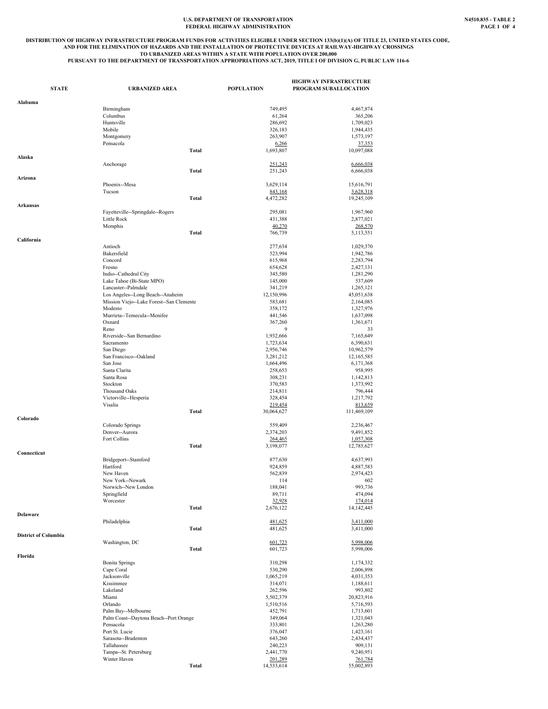# **U.S. DEPARTMENT OF TRANSPORTATION N4510.835 - TABLE 2 FEDERAL HIGHWAY ADMINISTRATION PAGE 1 OF 4**

#### DISTRIBUTION OF HIGHWAY INFRASTRUCTURE PROGRAM FUNDS FOR ACTIVITIES ELIGIBLE UNDER SECTION 133(b)(1)(A) OF TITLE 23, UNITED STATES CODE,<br>AND FOR THE ELIMINATION OF HAZARDS AND THE INSTALLATION OF PROTECTIVE DEVICES AT RAIL **TO URBANIZED AREAS WITHIN A STATE WITH POPULATION OVER 200,000 PURSUANT TO THE DEPARTMENT OF TRANSPORTATION APPROPRIATIONS ACT, 2019, TITLE I OF DIVISION G, PUBLIC LAW 116-6**

| <b>STATE</b>                | <b>URBANIZED AREA</b>                               | <b>POPULATION</b>      | <b>HIGHWAY INFRASTRUCTURE</b><br>PROGRAM SUBALLOCATION |
|-----------------------------|-----------------------------------------------------|------------------------|--------------------------------------------------------|
| Alabama                     |                                                     |                        |                                                        |
|                             | Birmingham                                          | 749,495                | 4,467,874                                              |
|                             | Columbus                                            | 61,264                 | 365,206                                                |
|                             | Huntsville<br>Mobile                                | 286,692<br>326,183     | 1,709,023<br>1,944,435                                 |
|                             | Montgomery                                          | 263,907                | 1,573,197                                              |
|                             | Pensacola                                           | 6,266                  | 37,353                                                 |
|                             | Total                                               | 1,693,807              | 10,097,088                                             |
| Alaska                      |                                                     |                        |                                                        |
|                             | Anchorage<br><b>Total</b>                           | 251,243<br>251,243     | 6,666,038<br>6,666,038                                 |
| Arizona                     |                                                     |                        |                                                        |
|                             | Phoenix--Mesa                                       | 3,629,114              | 15,616,791                                             |
|                             | Tucson                                              | 843,168                | 3,628,318                                              |
|                             | <b>Total</b>                                        | 4,472,282              | 19,245,109                                             |
| Arkansas                    | Fayetteville--Springdale--Rogers                    | 295,081                | 1,967,960                                              |
|                             | Little Rock                                         | 431,388                | 2,877,021                                              |
|                             | Memphis                                             | 40,270                 | 268,570                                                |
|                             | <b>Total</b>                                        | 766,739                | 5,113,551                                              |
| California                  |                                                     |                        |                                                        |
|                             | Antioch<br>Bakersfield                              | 277,634<br>523,994     | 1,029,370<br>1,942,786                                 |
|                             | Concord                                             | 615,968                | 2,283,794                                              |
|                             | Fresno                                              | 654,628                | 2,427,131                                              |
|                             | Indio--Cathedral City                               | 345,580                | 1,281,290                                              |
|                             | Lake Tahoe (Bi-State MPO)                           | 145,000                | 537,609                                                |
|                             | Lancaster--Palmdale                                 | 341,219                | 1,265,121                                              |
|                             | Los Angeles--Long Beach--Anaheim                    | 12,150,996             | 45,051,638                                             |
|                             | Mission Viejo--Lake Forest--San Clemente<br>Modesto | 583,681<br>358,172     | 2,164,085<br>1,327,976                                 |
|                             | Murrieta--Temecula--Menifee                         | 441,546                | 1,637,098                                              |
|                             | Oxnard                                              | 367,260                | 1,361,671                                              |
|                             | Reno                                                | 9                      | 33                                                     |
|                             | Riverside--San Bernardino                           | 1,932,666              | 7,165,649                                              |
|                             | Sacramento                                          | 1,723,634              | 6,390,631                                              |
|                             | San Diego                                           | 2,956,746              | 10,962,579                                             |
|                             | San Francisco--Oakland<br>San Jose                  | 3,281,212<br>1,664,496 | 12,165,585<br>6,171,368                                |
|                             | Santa Clarita                                       | 258,653                | 958,995                                                |
|                             | Santa Rosa                                          | 308,231                | 1,142,813                                              |
|                             | Stockton                                            | 370,583                | 1,373,992                                              |
|                             | Thousand Oaks                                       | 214,811                | 796,444                                                |
|                             | Victorville--Hesperia                               | 328,454                | 1,217,792                                              |
|                             | Visalia<br>Total                                    | 219,454                | 813,659                                                |
| Colorado                    |                                                     | 30,064,627             | 111,469,109                                            |
|                             | Colorado Springs                                    | 559,409                | 2,236,467                                              |
|                             | Denver--Aurora                                      | 2,374,203              | 9,491,852                                              |
|                             | Fort Collins                                        | 264,465                | 1,057,308                                              |
| Connecticut                 | <b>Total</b>                                        | 3,198,077              | 12,785,627                                             |
|                             | Bridgeport--Stamford                                | 877,630                | 4,637,993                                              |
|                             | Hartford                                            | 924,859                | 4,887,583                                              |
|                             | New Haven                                           | 562,839                | 2,974,423                                              |
|                             | New York--Newark                                    | 114                    | 602                                                    |
|                             | Norwich--New London                                 | 188,041                | 993,736                                                |
|                             | Springfield<br>Worcester                            | 89,711<br>32,928       | 474,094<br>174,014                                     |
|                             | <b>Total</b>                                        | 2,676,122              | 14,142,445                                             |
| Delaware                    |                                                     |                        |                                                        |
|                             | Philadelphia                                        | 481,625                | 3,411,000                                              |
|                             | <b>Total</b>                                        | 481,625                | 3,411,000                                              |
| <b>District of Columbia</b> | Washington, DC                                      | 601,723                | 5,998,006                                              |
|                             | <b>Total</b>                                        | 601,723                | 5,998,006                                              |
| Florida                     |                                                     |                        |                                                        |
|                             | <b>Bonita Springs</b>                               | 310,298                | 1,174,332                                              |
|                             | Cape Coral                                          | 530,290                | 2,006,898                                              |
|                             | Jacksonville                                        | 1,065,219              | 4,031,353                                              |
|                             | Kissimmee<br>Lakeland                               | 314,071<br>262,596     | 1,188,611<br>993,802                                   |
|                             | Miami                                               | 5,502,379              | 20,823,916                                             |
|                             | Orlando                                             | 1,510,516              | 5,716,593                                              |
|                             | Palm Bay--Melbourne                                 | 452,791                | 1,713,601                                              |
|                             | Palm Coast--Daytona Beach--Port Orange              | 349,064                | 1,321,043                                              |
|                             | Pensacola                                           | 333,801                | 1,263,280                                              |
|                             | Port St. Lucie                                      | 376,047                | 1,423,161                                              |
|                             | Sarasota--Bradenton<br>Tallahassee                  | 643,260<br>240,223     | 2,434,437<br>909,131                                   |
|                             | Tampa--St. Petersburg                               | 2,441,770              | 9,240,951                                              |
|                             | Winter Haven                                        | 201,289                | 761,784                                                |
|                             | <b>Total</b>                                        | 14,533,614             | 55,002,893                                             |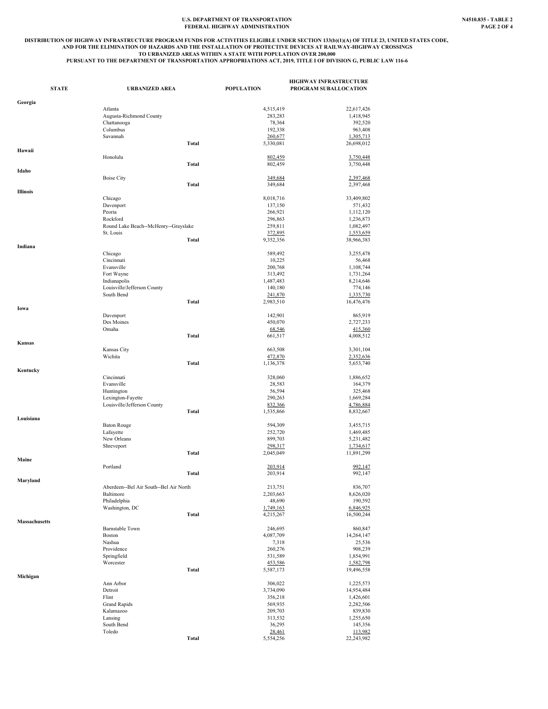#### U.S. DEPARTMENT OF TRANSPORTATION **NASIO.835 - TABLE 2**<br>FEDERAL HIGHWAY ADMINISTRATION PAGE 2 OF 4 **FEDERAL HIGHWAY ADMINISTRATION**

## DISTRIBUTION OF HIGHWAY INFRASTRUCTURE PROGRAM FUNDS FOR ACTIVITIES ELIGIBLE UNDER SECTION 133(b)(1)(A) OF TITLE 23, UNITED STATES CODE,<br>AND FOR THE ELIMINATION OF HAZARDS AND THE INSTALLATION OF PROTECTIVE DEVICES AT RAIL **TO URBANIZED AREAS WITHIN A STATE WITH POPULATION OVER 200,000 PURSUANT TO THE DEPARTMENT OF TRANSPORTATION APPROPRIATIONS ACT, 2019, TITLE I OF DIVISION G, PUBLIC LAW 116-6**

| <b>STATE</b>         | <b>URBANIZED AREA</b>                     |              | <b>POPULATION</b> | <b>HIGHWAY INFRASTRUCTURE</b><br>PROGRAM SUBALLOCATION |
|----------------------|-------------------------------------------|--------------|-------------------|--------------------------------------------------------|
| Georgia              |                                           |              |                   |                                                        |
|                      | Atlanta                                   |              | 4,515,419         | 22,617,426                                             |
|                      | Augusta-Richmond County                   |              | 283,283           | 1,418,945                                              |
|                      | Chattanooga                               |              | 78,364            | 392,520                                                |
|                      | Columbus                                  |              | 192,338           | 963,408                                                |
|                      | Savannah                                  |              | 260,677           | 1,305,713                                              |
|                      |                                           | Total        | 5,330,081         | 26,698,012                                             |
| Hawaii               |                                           |              |                   |                                                        |
|                      | Honolulu                                  |              | 802,459           | 3,750,448                                              |
|                      |                                           | <b>Total</b> | 802,459           | 3,750,448                                              |
| Idaho                |                                           |              |                   |                                                        |
|                      | <b>Boise City</b>                         |              | 349,684           | 2,397,468                                              |
|                      |                                           | Total        | 349,684           | 2,397,468                                              |
| Illinois             |                                           |              |                   |                                                        |
|                      | Chicago                                   |              | 8,018,716         | 33,409,802                                             |
|                      | Davenport                                 |              | 137,150           | 571,432                                                |
|                      | Peoria                                    |              | 266,921           | 1,112,120                                              |
|                      | Rockford                                  |              | 296,863           | 1,236,873                                              |
|                      | Round Lake Beach--McHenry--Grayslake      |              | 259,811           | 1,082,497                                              |
|                      | St. Louis                                 |              | 372,895           | 1,553,659                                              |
|                      |                                           | Total        | 9,352,356         | 38,966,383                                             |
| Indiana              |                                           |              |                   |                                                        |
|                      | Chicago                                   |              | 589,492           | 3,255,478                                              |
|                      | Cincinnati                                |              | 10,225            | 56,468                                                 |
|                      | Evansville                                |              | 200,768           | 1,108,744                                              |
|                      | Fort Wayne                                |              | 313,492           | 1,731,264                                              |
|                      |                                           |              |                   |                                                        |
|                      | Indianapolis                              |              | 1,487,483         | 8,214,646<br>774,146                                   |
|                      | Louisville/Jefferson County<br>South Bend |              | 140,180           |                                                        |
|                      |                                           |              | 241,870           | 1,335,730                                              |
|                      |                                           | Total        | 2,983,510         | 16,476,476                                             |
| Iowa                 |                                           |              |                   |                                                        |
|                      | Davenport                                 |              | 142,901           | 865,919                                                |
|                      | Des Moines                                |              | 450,070           | 2,727,233                                              |
|                      | Omaha                                     |              | 68,546            | 415,360                                                |
|                      |                                           | <b>Total</b> | 661,517           | 4,008,512                                              |
| Kansas               |                                           |              |                   |                                                        |
|                      | Kansas City                               |              | 663,508           | 3,301,104                                              |
|                      | Wichita                                   |              | 472,870           | 2,352,636                                              |
|                      |                                           | <b>Total</b> | 1,136,378         | 5,653,740                                              |
| Kentucky             |                                           |              |                   |                                                        |
|                      | Cincinnati                                |              | 328,060           | 1,886,652                                              |
|                      | Evansville                                |              | 28,583            | 164,379                                                |
|                      | Huntington                                |              | 56,594            | 325,468                                                |
|                      | Lexington-Fayette                         |              | 290,263           | 1,669,284                                              |
|                      | Louisville/Jefferson County               |              | 832,366           | 4,786,884                                              |
|                      |                                           | Total        | 1,535,866         | 8,832,667                                              |
| Louisiana            |                                           |              |                   |                                                        |
|                      | <b>Baton Rouge</b>                        |              | 594,309           | 3,455,715                                              |
|                      | Lafayette                                 |              | 252,720           | 1,469,485                                              |
|                      | New Orleans                               |              | 899,703           | 5,231,482                                              |
|                      | Shreveport                                |              | 298,317           | 1,734,617                                              |
|                      |                                           | <b>Total</b> | 2,045,049         | 11,891,299                                             |
| Maine                |                                           |              |                   |                                                        |
|                      | Portland                                  |              | 203,914           | 992,147                                                |
|                      |                                           | Total        | 203,914           | 992,147                                                |
| Maryland             |                                           |              |                   |                                                        |
|                      | Aberdeen--Bel Air South--Bel Air North    |              | 213,751           | 836,707                                                |
|                      | Baltimore                                 |              | 2,203,663         | 8,626,020                                              |
|                      | Philadelphia                              |              | 48,690            | 190,592                                                |
|                      | Washington, DC                            |              | 1,749,163         | 6,846,925                                              |
|                      |                                           | Total        | 4,215,267         | 16,500,244                                             |
| <b>Massachusetts</b> |                                           |              |                   |                                                        |
|                      | <b>Barnstable Town</b>                    |              | 246,695           | 860,847                                                |
|                      | <b>Boston</b>                             |              | 4,087,709         | 14,264,147                                             |
|                      | Nashua                                    |              | 7,318             | 25,536                                                 |
|                      | Providence                                |              | 260,276           | 908,239                                                |
|                      | Springfield                               |              | 531,589           | 1,854,991                                              |
|                      | Worcester                                 |              | 453,586           | 1,582,798                                              |
|                      |                                           | Total        | 5,587,173         | 19,496,558                                             |
| Michigan             |                                           |              |                   |                                                        |
|                      | Ann Arbor                                 |              | 306,022           | 1,225,573                                              |
|                      | Detroit                                   |              | 3,734,090         | 14,954,484                                             |
|                      | Flint                                     |              | 356,218           | 1,426,601                                              |
|                      | Grand Rapids                              |              | 569,935           | 2,282,506                                              |
|                      | Kalamazoo                                 |              | 209,703           | 839,830                                                |
|                      | Lansing                                   |              | 313,532           | 1,255,650                                              |
|                      | South Bend                                |              | 36,295            | 145,356                                                |
|                      | Toledo                                    |              | 28,461            | 113,982                                                |
|                      |                                           | Total        | 5,554,256         | 22,243,982                                             |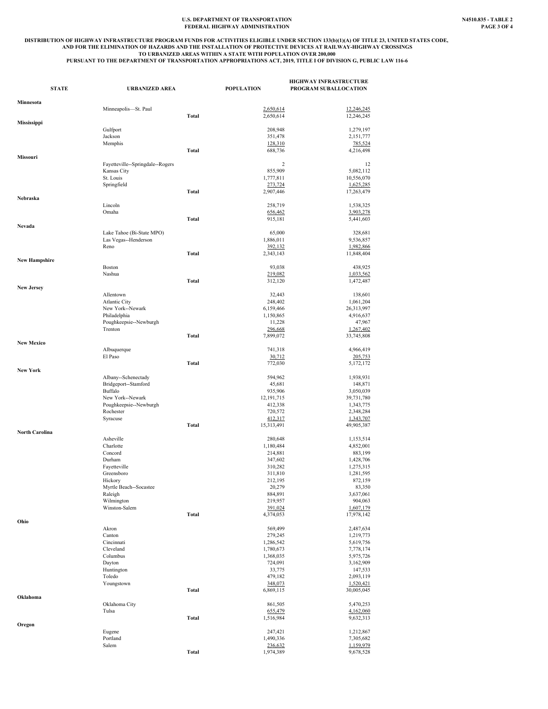#### U.S. DEPARTMENT OF TRANSPORTATION **NASIO.835 - TABLE 2**<br>FEDERAL HIGHWAY ADMINISTRATION **PAGE 3** OF 4 **FEDERAL HIGHWAY ADMINISTRATION**

## DISTRIBUTION OF HIGHWAY INFRASTRUCTURE PROGRAM FUNDS FOR ACTIVITIES ELIGIBLE UNDER SECTION 133(b)(1)(A) OF TITLE 23, UNITED STATES CODE,<br>AND FOR THE ELIMINATION OF HAZARDS AND THE INSTALLATION OF PROTECTIVE DEVICES AT RAIL **TO URBANIZED AREAS WITHIN A STATE WITH POPULATION OVER 200,000 PURSUANT TO THE DEPARTMENT OF TRANSPORTATION APPROPRIATIONS ACT, 2019, TITLE I OF DIVISION G, PUBLIC LAW 116-6**

| <b>STATE</b>          | <b>URBANIZED AREA</b>                             |              | <b>POPULATION</b>    | <b>HIGHWAY INFRASTRUCTURE</b><br>PROGRAM SUBALLOCATION |
|-----------------------|---------------------------------------------------|--------------|----------------------|--------------------------------------------------------|
| Minnesota             |                                                   |              |                      |                                                        |
|                       | Minneapolis-St. Paul                              |              | 2,650,614            | 12,246,245                                             |
| Mississippi           |                                                   | <b>Total</b> | 2,650,614            | 12,246,245                                             |
|                       | Gulfport                                          |              | 208,948              | 1,279,197                                              |
|                       | Jackson                                           |              | 351,478              | 2,151,777                                              |
|                       | Memphis                                           | Total        | 128,310              | 785,524                                                |
| Missouri              |                                                   |              | 688,736              | 4,216,498                                              |
|                       | Fayetteville--Springdale--Rogers                  |              | $\overline{c}$       | 12                                                     |
|                       | Kansas City                                       |              | 855,909              | 5,082,112                                              |
|                       | St. Louis<br>Springfield                          |              | 1,777,811<br>273,724 | 10,556,070<br>1,625,285                                |
|                       |                                                   | Total        | 2,907,446            | 17,263,479                                             |
| Nebraska              |                                                   |              |                      |                                                        |
|                       | Lincoln<br>Omaha                                  |              | 258,719<br>656,462   | 1,538,325<br>3,903,278                                 |
|                       |                                                   | <b>Total</b> | 915,181              | 5,441,603                                              |
| Nevada                |                                                   |              |                      |                                                        |
|                       | Lake Tahoe (Bi-State MPO)<br>Las Vegas--Henderson |              | 65,000<br>1,886,011  | 328,681<br>9,536,857                                   |
|                       | Reno                                              |              | 392,132              | 1,982,866                                              |
|                       |                                                   | Total        | 2,343,143            | 11,848,404                                             |
| <b>New Hampshire</b>  | <b>Boston</b>                                     |              | 93,038               | 438,925                                                |
|                       | Nashua                                            |              | 219,082              | 1,033,562                                              |
|                       |                                                   | <b>Total</b> | 312,120              | 1,472,487                                              |
| <b>New Jersey</b>     | Allentown                                         |              | 32,443               | 138,601                                                |
|                       | <b>Atlantic City</b>                              |              | 248,402              | 1,061,204                                              |
|                       | New York--Newark                                  |              | 6,159,466            | 26,313,997                                             |
|                       | Philadelphia                                      |              | 1,150,865            | 4,916,637                                              |
|                       | Poughkeepsie--Newburgh<br>Trenton                 |              | 11,228<br>296,668    | 47,967<br>1,267,402                                    |
|                       |                                                   | <b>Total</b> | 7,899,072            | 33,745,808                                             |
| <b>New Mexico</b>     |                                                   |              |                      |                                                        |
|                       | Albuquerque<br>El Paso                            |              | 741,318<br>30,712    | 4,966,419<br>205,753                                   |
|                       |                                                   | Total        | 772,030              | 5,172,172                                              |
| <b>New York</b>       |                                                   |              |                      |                                                        |
|                       | Albany--Schenectady<br>Bridgeport--Stamford       |              | 594,962<br>45,681    | 1,938,931<br>148,871                                   |
|                       | Buffalo                                           |              | 935,906              | 3,050,039                                              |
|                       | New York--Newark                                  |              | 12, 191, 715         | 39,731,780                                             |
|                       | Poughkeepsie--Newburgh<br>Rochester               |              | 412,338<br>720,572   | 1,343,775<br>2,348,284                                 |
|                       | Syracuse                                          |              | 412,317              | 1,343,707                                              |
|                       |                                                   | Total        | 15,313,491           | 49,905,387                                             |
| <b>North Carolina</b> | Asheville                                         |              | 280,648              | 1,153,514                                              |
|                       | Charlotte                                         |              | 1,180,484            | 4,852,001                                              |
|                       | Concord                                           |              | 214,881              | 883,199                                                |
|                       | Durham                                            |              | 347,602              | 1,428,706                                              |
|                       | Favetteville<br>Greensboro                        |              | 310,282<br>311,810   | 1,275,315<br>1,281,595                                 |
|                       | Hickory                                           |              | 212,195              | 872,159                                                |
|                       | Myrtle Beach--Socastee                            |              | 20,279               | 83,350                                                 |
|                       | Raleigh<br>Wilmington                             |              | 884,891<br>219,957   | 3,637,061<br>904,063                                   |
|                       | Winston-Salem                                     |              | 391,024              | 1,607,179                                              |
|                       |                                                   | Total        | 4,374,053            | 17,978,142                                             |
| Ohio                  | Akron                                             |              | 569,499              | 2,487,634                                              |
|                       | Canton                                            |              | 279,245              | 1,219,773                                              |
|                       | Cincinnati                                        |              | 1,286,542            | 5,619,756                                              |
|                       | Cleveland<br>Columbus                             |              | 1,780,673            | 7,778,174                                              |
|                       | Dayton                                            |              | 1,368,035<br>724,091 | 5,975,726<br>3,162,909                                 |
|                       | Huntington                                        |              | 33,775               | 147,533                                                |
|                       | Toledo                                            |              | 479,182              | 2,093,119                                              |
|                       | Youngstown                                        | <b>Total</b> | 348,073<br>6,869,115 | 1,520,421<br>30,005,045                                |
| Oklahoma              |                                                   |              |                      |                                                        |
|                       | Oklahoma City                                     |              | 861,505              | 5,470,253                                              |
|                       | Tulsa                                             | <b>Total</b> | 655,479<br>1,516,984 | 4,162,060<br>9,632,313                                 |
| Oregon                |                                                   |              |                      |                                                        |
|                       | Eugene                                            |              | 247,421              | 1,212,867                                              |
|                       | Portland<br>Salem                                 |              | 1,490,336<br>236,632 | 7,305,682<br>1,159,979                                 |
|                       |                                                   | <b>Total</b> | 1,974,389            | 9,678,528                                              |